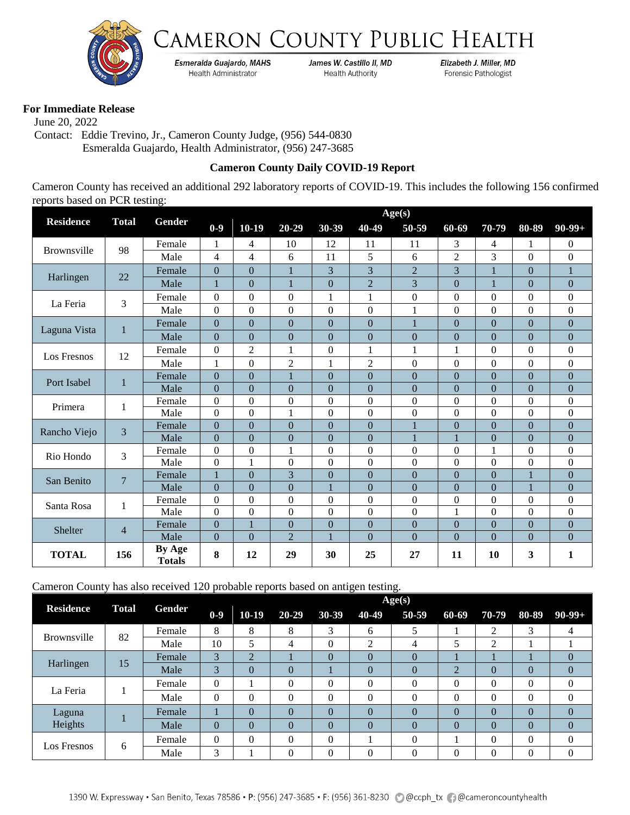



Esmeralda Guajardo, MAHS Health Administrator

James W. Castillo II, MD **Health Authority** 

Elizabeth J. Miller, MD Forensic Pathologist

## **For Immediate Release**

 June 20, 2022 Contact: Eddie Trevino, Jr., Cameron County Judge, (956) 544-0830 Esmeralda Guajardo, Health Administrator, (956) 247-3685

## **Cameron County Daily COVID-19 Report**

Cameron County has received an additional 292 laboratory reports of COVID-19. This includes the following 156 confirmed reports based on PCR testing:

|                    |                 |                         | Age(s)           |                  |                  |                  |                  |                  |                |                                                                                                                                                                                                                                                                                                                                                                                                                                                                                                                                                                                                                                                                                                                                                                                                                                                                                                                         |                |                  |  |
|--------------------|-----------------|-------------------------|------------------|------------------|------------------|------------------|------------------|------------------|----------------|-------------------------------------------------------------------------------------------------------------------------------------------------------------------------------------------------------------------------------------------------------------------------------------------------------------------------------------------------------------------------------------------------------------------------------------------------------------------------------------------------------------------------------------------------------------------------------------------------------------------------------------------------------------------------------------------------------------------------------------------------------------------------------------------------------------------------------------------------------------------------------------------------------------------------|----------------|------------------|--|
| <b>Residence</b>   | <b>Total</b>    | Gender                  | $0-9$            | $10-19$          | $20 - 29$        | 30-39            | 40-49            | 50-59            | 60-69          | 70-79                                                                                                                                                                                                                                                                                                                                                                                                                                                                                                                                                                                                                                                                                                                                                                                                                                                                                                                   | 80-89          | $90-99+$         |  |
|                    |                 | Female                  | 1                | $\overline{4}$   | 10               | 12               | 11               | 11               | 3              | 4                                                                                                                                                                                                                                                                                                                                                                                                                                                                                                                                                                                                                                                                                                                                                                                                                                                                                                                       | 1              | $\Omega$         |  |
| <b>Brownsville</b> | 98              | Male                    | 4                | $\overline{4}$   | 6                | 11               | 5                | 6                | $\overline{2}$ | 3                                                                                                                                                                                                                                                                                                                                                                                                                                                                                                                                                                                                                                                                                                                                                                                                                                                                                                                       | $\theta$       | $\Omega$         |  |
|                    |                 | Female                  | $\overline{0}$   | $\overline{0}$   | $\mathbf{1}$     | 3                | 3                | $\overline{2}$   | 3              | 1                                                                                                                                                                                                                                                                                                                                                                                                                                                                                                                                                                                                                                                                                                                                                                                                                                                                                                                       | $\overline{0}$ | $\mathbf{1}$     |  |
| Harlingen          | 22              | Male                    | $\mathbf{1}$     | $\Omega$         | $\mathbf{1}$     | $\theta$         | $\overline{2}$   | 3                | $\Omega$       | $\mathbf{1}$<br>$\theta$<br>$\Omega$<br>$\Omega$<br>$\Omega$<br>$\boldsymbol{0}$<br>$\overline{0}$<br>$\overline{0}$<br>$\Omega$<br>$\theta$<br>$\theta$<br>$\overline{0}$<br>$\theta$<br>$\theta$<br>$\theta$<br>1<br>$\overline{0}$<br>$\Omega$<br>$\theta$<br>$\theta$<br>$\overline{0}$<br>$\mathbf{0}$<br>$\overline{0}$<br>$\theta$<br>$\Omega$<br>$\overline{0}$<br>$\boldsymbol{0}$<br>$\boldsymbol{0}$<br>$\boldsymbol{0}$<br>$\Omega$<br>$\theta$<br>$\Omega$<br>$\overline{0}$<br>$\overline{0}$<br>$\overline{0}$<br>1<br>$\theta$<br>$\theta$<br>$\overline{0}$<br>$\overline{0}$<br>1<br>$\theta$<br>$\theta$<br>$\mathbf{0}$<br>$\overline{0}$<br>$\overline{0}$<br>$\mathbf{0}$<br>$\mathbf{0}$<br>$\overline{1}$<br>$\boldsymbol{0}$<br>$\theta$<br>$\boldsymbol{0}$<br>$\theta$<br>$\boldsymbol{0}$<br>1<br>$\theta$<br>$\Omega$<br>$\theta$<br>$\mathbf{0}$<br>$\theta$<br>$\theta$<br>11<br>10<br>3 | $\mathbf{0}$   |                  |  |
|                    |                 | Female                  | $\Omega$         | $\Omega$         | $\Omega$         | 1                | 1                | $\theta$         |                |                                                                                                                                                                                                                                                                                                                                                                                                                                                                                                                                                                                                                                                                                                                                                                                                                                                                                                                         |                | $\Omega$         |  |
| La Feria           | 3               | Male                    | $\mathbf{0}$     | $\boldsymbol{0}$ | $\theta$         | $\boldsymbol{0}$ | $\boldsymbol{0}$ |                  |                |                                                                                                                                                                                                                                                                                                                                                                                                                                                                                                                                                                                                                                                                                                                                                                                                                                                                                                                         |                | $\boldsymbol{0}$ |  |
|                    |                 | Female                  | $\Omega$         | $\Omega$         | $\overline{0}$   | $\Omega$         | $\Omega$         | 1                |                |                                                                                                                                                                                                                                                                                                                                                                                                                                                                                                                                                                                                                                                                                                                                                                                                                                                                                                                         |                | $\theta$         |  |
| Laguna Vista       | $\mathbf{1}$    | Male                    | $\theta$         | $\theta$         | $\overline{0}$   | $\Omega$         | $\Omega$         | $\theta$         |                |                                                                                                                                                                                                                                                                                                                                                                                                                                                                                                                                                                                                                                                                                                                                                                                                                                                                                                                         |                | $\theta$         |  |
|                    |                 | Female                  | $\Omega$         | $\overline{2}$   | $\mathbf{1}$     | $\Omega$         | 1                | 1                |                |                                                                                                                                                                                                                                                                                                                                                                                                                                                                                                                                                                                                                                                                                                                                                                                                                                                                                                                         |                | $\boldsymbol{0}$ |  |
| Los Fresnos        | 12              | Male                    | 1                | $\Omega$         | $\overline{2}$   | 1                | $\overline{2}$   | $\theta$         |                |                                                                                                                                                                                                                                                                                                                                                                                                                                                                                                                                                                                                                                                                                                                                                                                                                                                                                                                         |                | $\boldsymbol{0}$ |  |
|                    | $\mathbf{1}$    | Female                  | $\overline{0}$   | $\overline{0}$   | $\mathbf{1}$     | $\mathbf{0}$     | $\overline{0}$   | $\overline{0}$   |                |                                                                                                                                                                                                                                                                                                                                                                                                                                                                                                                                                                                                                                                                                                                                                                                                                                                                                                                         |                | $\mathbf{0}$     |  |
| Port Isabel        |                 | Male                    | $\Omega$         | $\theta$         | $\overline{0}$   | $\Omega$         | $\overline{0}$   | $\theta$         |                |                                                                                                                                                                                                                                                                                                                                                                                                                                                                                                                                                                                                                                                                                                                                                                                                                                                                                                                         |                | $\mathbf{0}$     |  |
| Primera            | 1               | Female                  | $\boldsymbol{0}$ | $\boldsymbol{0}$ | $\boldsymbol{0}$ | $\boldsymbol{0}$ | $\boldsymbol{0}$ | $\boldsymbol{0}$ |                |                                                                                                                                                                                                                                                                                                                                                                                                                                                                                                                                                                                                                                                                                                                                                                                                                                                                                                                         |                | $\boldsymbol{0}$ |  |
|                    |                 | Male                    | $\Omega$         | $\overline{0}$   | 1                | $\Omega$         | $\overline{0}$   | $\theta$         |                |                                                                                                                                                                                                                                                                                                                                                                                                                                                                                                                                                                                                                                                                                                                                                                                                                                                                                                                         |                | $\overline{0}$   |  |
| Rancho Viejo       | 3               | Female                  | $\overline{0}$   | $\mathbf{0}$     | $\overline{0}$   | $\overline{0}$   | $\overline{0}$   |                  |                |                                                                                                                                                                                                                                                                                                                                                                                                                                                                                                                                                                                                                                                                                                                                                                                                                                                                                                                         |                | $\boldsymbol{0}$ |  |
|                    |                 | Male                    | $\theta$         | $\Omega$         | $\overline{0}$   | $\overline{0}$   | $\overline{0}$   | 1                |                |                                                                                                                                                                                                                                                                                                                                                                                                                                                                                                                                                                                                                                                                                                                                                                                                                                                                                                                         | $\overline{0}$ |                  |  |
| Rio Hondo          | 3               | Female                  | $\mathbf{0}$     | $\boldsymbol{0}$ | $\mathbf{1}$     | $\Omega$         | $\boldsymbol{0}$ | $\Omega$         |                |                                                                                                                                                                                                                                                                                                                                                                                                                                                                                                                                                                                                                                                                                                                                                                                                                                                                                                                         |                | $\boldsymbol{0}$ |  |
|                    |                 | Male                    | $\boldsymbol{0}$ | 1                | $\theta$         | $\Omega$         | $\overline{0}$   | $\theta$         |                |                                                                                                                                                                                                                                                                                                                                                                                                                                                                                                                                                                                                                                                                                                                                                                                                                                                                                                                         |                | $\overline{0}$   |  |
| San Benito         | $7\phantom{.0}$ | Female                  |                  | $\overline{0}$   | 3                | $\overline{0}$   | $\overline{0}$   | $\overline{0}$   |                |                                                                                                                                                                                                                                                                                                                                                                                                                                                                                                                                                                                                                                                                                                                                                                                                                                                                                                                         |                | $\boldsymbol{0}$ |  |
|                    |                 | Male                    | $\overline{0}$   | $\theta$         | $\overline{0}$   |                  | $\overline{0}$   | $\theta$         |                |                                                                                                                                                                                                                                                                                                                                                                                                                                                                                                                                                                                                                                                                                                                                                                                                                                                                                                                         |                | $\mathbf{0}$     |  |
| Santa Rosa         | $\mathbf{1}$    | Female                  | $\boldsymbol{0}$ | $\Omega$         | $\boldsymbol{0}$ | $\Omega$         | $\boldsymbol{0}$ | $\theta$         |                |                                                                                                                                                                                                                                                                                                                                                                                                                                                                                                                                                                                                                                                                                                                                                                                                                                                                                                                         |                | $\Omega$         |  |
|                    |                 | Male                    | $\boldsymbol{0}$ | $\theta$         | $\boldsymbol{0}$ | $\Omega$         | $\Omega$         | $\theta$         |                |                                                                                                                                                                                                                                                                                                                                                                                                                                                                                                                                                                                                                                                                                                                                                                                                                                                                                                                         |                | $\boldsymbol{0}$ |  |
| Shelter            | $\overline{4}$  | Female                  | $\mathbf{0}$     | $\mathbf{1}$     | $\overline{0}$   | $\overline{0}$   | $\Omega$         | $\theta$         |                |                                                                                                                                                                                                                                                                                                                                                                                                                                                                                                                                                                                                                                                                                                                                                                                                                                                                                                                         |                | $\mathbf{0}$     |  |
|                    |                 | Male                    | $\mathbf{0}$     | $\overline{0}$   | $\overline{2}$   |                  | $\Omega$         | $\theta$         |                |                                                                                                                                                                                                                                                                                                                                                                                                                                                                                                                                                                                                                                                                                                                                                                                                                                                                                                                         |                | $\overline{0}$   |  |
| <b>TOTAL</b>       | 156             | By Age<br><b>Totals</b> | 8                | 12               | 29               | 30               | 25               | 27               |                |                                                                                                                                                                                                                                                                                                                                                                                                                                                                                                                                                                                                                                                                                                                                                                                                                                                                                                                         |                | $\mathbf{1}$     |  |

Cameron County has also received 120 probable reports based on antigen testing.

|                   |              |               | Age(s)   |           |           |           |          |          |               |          |          |          |  |
|-------------------|--------------|---------------|----------|-----------|-----------|-----------|----------|----------|---------------|----------|----------|----------|--|
| <b>Residence</b>  | <b>Total</b> | <b>Gender</b> | $0-9$    | $10-19$   | $20 - 29$ | $30 - 39$ | 40-49    | 50-59    | 60-69         | 70-79    | 80-89    | $90-99+$ |  |
|                   | 82           | Female        | 8        | 8         | 8         | 3         | 6        |          |               | 2        | 3        | 4        |  |
| Brownsville       |              | Male          | 10       | 5         | 4         |           | 2        | 4        | 5             | 2        |          |          |  |
|                   | 15           | Female        | 3        | $\bigcap$ |           |           | $\Omega$ | 0        |               |          |          |          |  |
| Harlingen         |              | Male          | 3        | $\Omega$  | $\theta$  |           | $\Omega$ | 0        | $\mathcal{D}$ | $\Omega$ | $\Omega$ |          |  |
| La Feria          |              | Female        | $\theta$ |           | $\theta$  |           | $\Omega$ | 0        | $\Omega$      | $\theta$ | $\Omega$ | $\Omega$ |  |
|                   |              | Male          | $\theta$ | $\Omega$  | $\theta$  | $\theta$  | $\theta$ | 0        | $\theta$      | $\theta$ | $\Omega$ |          |  |
| Laguna<br>Heights |              | Female        |          | $\Omega$  | $\Omega$  | $\Omega$  | 0        | 0        | $\Omega$      | $\theta$ | $\theta$ |          |  |
|                   |              | Male          | $\Omega$ | $\Omega$  | $\Omega$  | $\Omega$  | $\Omega$ | $\Omega$ | $\Omega$      | $\Omega$ | $\Omega$ | $\Omega$ |  |
| Los Fresnos       |              | Female        | $\Omega$ | $\Omega$  | $\Omega$  | $\Omega$  |          | $\Omega$ |               | $\Omega$ | $\Omega$ | $\Omega$ |  |
|                   | 6            | Male          | 3        |           | $\theta$  | $\theta$  | $\Omega$ | 0        | 0             | $\theta$ | $\theta$ |          |  |